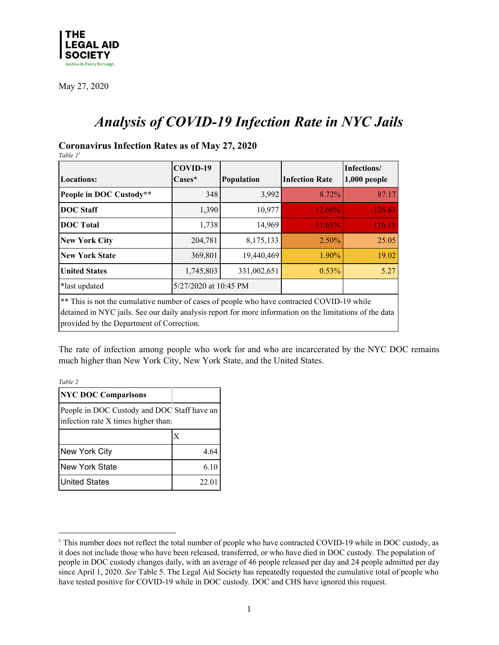

# *Analysis of COVID-19 Infection Rate in NYC Jails*

### **Coronavirus Infection Rates as of May 27, 2020**

*Table 1 1*

| <b>Locations:</b>                                                                                                                                                                                                                                   | COVID-19<br>$\text{Case}^{\star}$ | Population  | <b>Infection Rate</b> | Infections/<br>$1,000$ people |  |
|-----------------------------------------------------------------------------------------------------------------------------------------------------------------------------------------------------------------------------------------------------|-----------------------------------|-------------|-----------------------|-------------------------------|--|
| People in DOC Custody**                                                                                                                                                                                                                             | 348                               | 3,992       | 8.72%                 | 87.17                         |  |
| <b>DOC</b> Staff                                                                                                                                                                                                                                    | 1,390                             | 10,977      | 12.66%                | 126.63                        |  |
| <b>DOC</b> Total                                                                                                                                                                                                                                    | 1,738                             | 14,969      | 11.61%                | 116.11                        |  |
| <b>New York City</b>                                                                                                                                                                                                                                | 204,781                           | 8,175,133   | $2.50\%$              | 25.05                         |  |
| <b>New York State</b>                                                                                                                                                                                                                               | 369,801                           | 19,440,469  | 1.90%                 | 19.02                         |  |
| <b>United States</b>                                                                                                                                                                                                                                | 1,745,803                         | 331,002,651 | $0.53\%$              | 5.27                          |  |
| *last updated                                                                                                                                                                                                                                       | 5/27/2020 at 10:45 PM             |             |                       |                               |  |
| ** This is not the cumulative number of cases of people who have contracted COVID-19 while<br>detained in NYC jails. See our daily analysis report for more information on the limitations of the data<br>provided by the Department of Correction. |                                   |             |                       |                               |  |

The rate of infection among people who work for and who are incarcerated by the NYC DOC remains much higher than New York City, New York State, and the United States.

*Table 2*

| <b>NYC DOC Comparisons</b>                                                         |       |  |
|------------------------------------------------------------------------------------|-------|--|
| People in DOC Custody and DOC Staff have an<br>infection rate X times higher than: |       |  |
|                                                                                    | X     |  |
| New York City                                                                      | 4.64  |  |
| New York State                                                                     | 6.10  |  |
| <b>United States</b>                                                               | 22.01 |  |

<sup>&</sup>lt;sup>1</sup> This number does not reflect the total number of people who have contracted COVID-19 while in DOC custody, as it does not include those who have been released, transferred, or who have died in DOC custody. The population of people in DOC custody changes daily, with an average of 46 people released per day and 24 people admitted per day since April 1, 2020. *See* Table 5. The Legal Aid Society has repeatedly requested the cumulative total of people who have tested positive for COVID-19 while in DOC custody. DOC and CHS have ignored this request.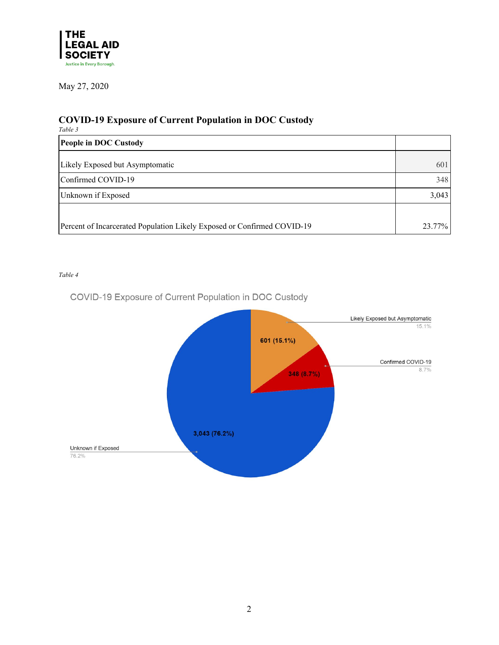

# **COVID-19 Exposure of Current Population in DOC Custody**

| Table 3                                                                 |       |
|-------------------------------------------------------------------------|-------|
| People in DOC Custody                                                   |       |
| Likely Exposed but Asymptomatic                                         | 601   |
| Confirmed COVID-19                                                      | 348   |
| Unknown if Exposed                                                      | 3,043 |
|                                                                         |       |
| Percent of Incarcerated Population Likely Exposed or Confirmed COVID-19 |       |

#### *Table 4*

COVID-19 Exposure of Current Population in DOC Custody

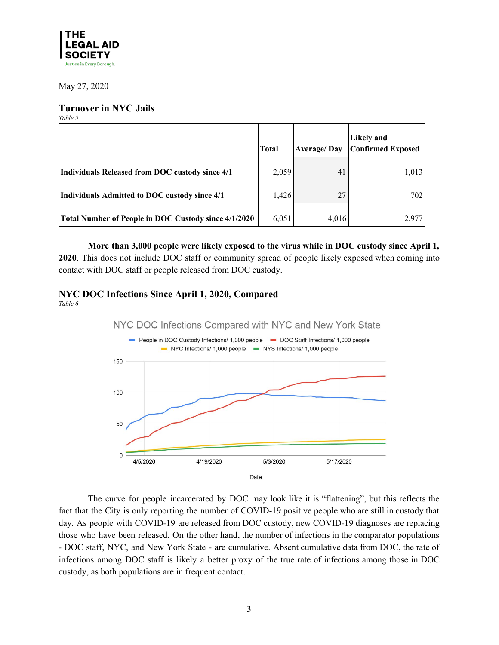

#### **Turnover in NYC Jails**

*Table 5*

|                                                      | <b>Total</b> | <b>Average/Day</b> | Likely and<br><b>Confirmed Exposed</b> |
|------------------------------------------------------|--------------|--------------------|----------------------------------------|
| Individuals Released from DOC custody since 4/1      | 2,059        | 41                 | 1,013                                  |
| Individuals Admitted to DOC custody since 4/1        | 1,426        | 27                 | 7021                                   |
| Total Number of People in DOC Custody since 4/1/2020 | 6,051        | 4,016              | 2.977                                  |

**More than 3,000 people were likely exposed to the virus while in DOC custody since April 1,**

**2020**. This does not include DOC staff or community spread of people likely exposed when coming into contact with DOC staff or people released from DOC custody.

# **NYC DOC Infections Since April 1, 2020, Compared**

*Table 6*



The curve for people incarcerated by DOC may look like it is "flattening", but this reflects the fact that the City is only reporting the number of COVID-19 positive people who are still in custody that day. As people with COVID-19 are released from DOC custody, new COVID-19 diagnoses are replacing those who have been released. On the other hand, the number of infections in the comparator populations - DOC staff, NYC, and New York State - are cumulative. Absent cumulative data from DOC, the rate of infections among DOC staff is likely a better proxy of the true rate of infections among those in DOC custody, as both populations are in frequent contact.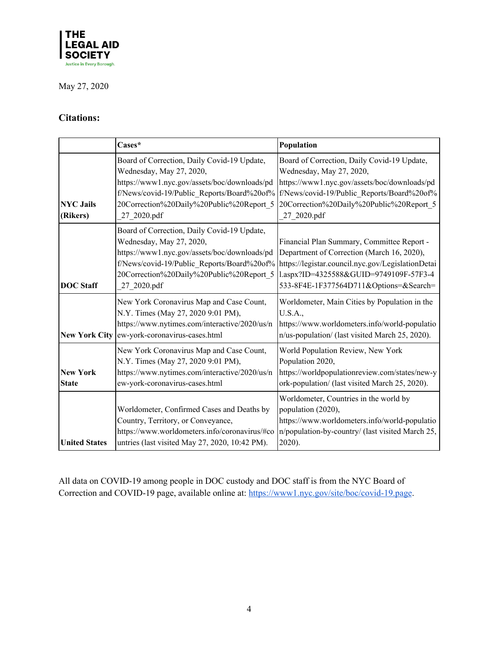

# **Citations:**

|                                 | Cases*                                                                                                                                                                              | Population                                                                                                                                                                                                                                                                     |
|---------------------------------|-------------------------------------------------------------------------------------------------------------------------------------------------------------------------------------|--------------------------------------------------------------------------------------------------------------------------------------------------------------------------------------------------------------------------------------------------------------------------------|
| <b>NYC Jails</b><br>(Rikers)    | Board of Correction, Daily Covid-19 Update,<br>Wednesday, May 27, 2020,<br>https://www1.nyc.gov/assets/boc/downloads/pd<br>20Correction%20Daily%20Public%20Report_5<br>27 2020.pdf  | Board of Correction, Daily Covid-19 Update,<br>Wednesday, May 27, 2020,<br>https://www1.nyc.gov/assets/boc/downloads/pd<br>f/News/covid-19/Public Reports/Board%20of% f/News/covid-19/Public Reports/Board%20of%<br>20Correction%20Daily%20Public%20Report_5<br>27 2020.pdf    |
| <b>DOC</b> Staff                | Board of Correction, Daily Covid-19 Update,<br>Wednesday, May 27, 2020,<br>https://www1.nyc.gov/assets/boc/downloads/pd<br>20Correction%20Daily%20Public%20Report_5<br>27 2020.pdf  | Financial Plan Summary, Committee Report -<br>Department of Correction (March 16, 2020),<br>f/News/covid-19/Public_Reports/Board%20of%   https://legistar.council.nyc.gov/LegislationDetai<br>1.aspx?ID=4325588&GUID=9749109F-57F3-4<br>533-8F4E-1F377564D711&Options=&Search= |
| <b>New York City</b>            | New York Coronavirus Map and Case Count,<br>N.Y. Times (May 27, 2020 9:01 PM),<br>https://www.nytimes.com/interactive/2020/us/n<br>ew-york-coronavirus-cases.html                   | Worldometer, Main Cities by Population in the<br>U.S.A.,<br>https://www.worldometers.info/world-populatio<br>n/us-population/ (last visited March 25, 2020).                                                                                                                   |
| <b>New York</b><br><b>State</b> | New York Coronavirus Map and Case Count,<br>N.Y. Times (May 27, 2020 9:01 PM),<br>https://www.nytimes.com/interactive/2020/us/n<br>ew-york-coronavirus-cases.html                   | World Population Review, New York<br>Population 2020,<br>https://worldpopulationreview.com/states/new-y<br>ork-population/ (last visited March 25, 2020).                                                                                                                      |
| <b>United States</b>            | Worldometer, Confirmed Cases and Deaths by<br>Country, Territory, or Conveyance,<br>https://www.worldometers.info/coronavirus/#co<br>untries (last visited May 27, 2020, 10:42 PM). | Worldometer, Countries in the world by<br>population (2020),<br>https://www.worldometers.info/world-populatio<br>n/population-by-country/ (last visited March 25,<br>2020).                                                                                                    |

All data on COVID-19 among people in DOC custody and DOC staff is from the NYC Board of Correction and COVID-19 page, available online at: [https://www1.nyc.gov/site/boc/covid-19.page.](https://www1.nyc.gov/site/boc/covid-19.page)